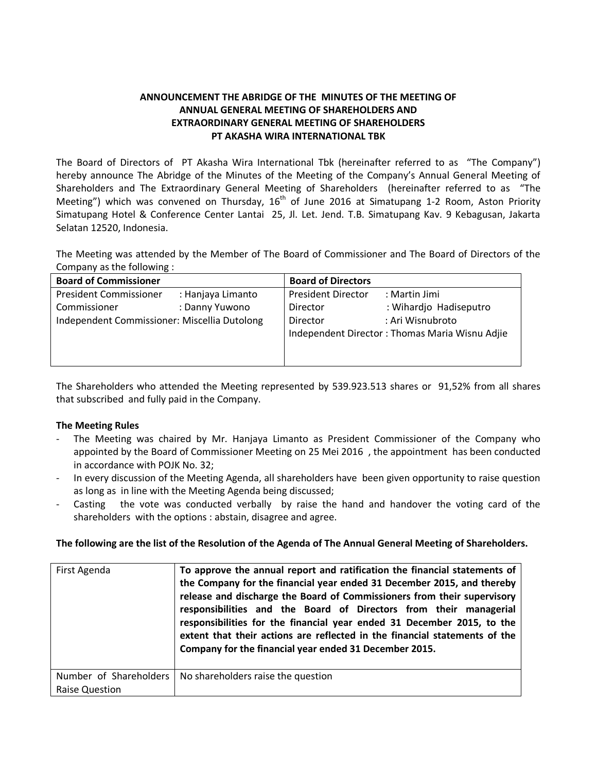## **ANNOUNCEMENT THE ABRIDGE OF THE MINUTES OF THE MEETING OF ANNUAL GENERAL MEETING OF SHAREHOLDERS AND EXTRAORDINARY GENERAL MEETING OF SHAREHOLDERS PT AKASHA WIRA INTERNATIONAL TBK**

The Board of Directors of PT Akasha Wira International Tbk (hereinafter referred to as "The Company") hereby announce The Abridge of the Minutes of the Meeting of the Company's Annual General Meeting of Shareholders and The Extraordinary General Meeting of Shareholders (hereinafter referred to as "The Meeting") which was convened on Thursday,  $16<sup>th</sup>$  of June 2016 at Simatupang 1-2 Room, Aston Priority Simatupang Hotel & Conference Center Lantai 25, Jl. Let. Jend. T.B. Simatupang Kav. 9 Kebagusan, Jakarta Selatan 12520, Indonesia.

The Meeting was attended by the Member of The Board of Commissioner and The Board of Directors of the Company as the following :

| <b>Board of Commissioner</b>                 |                   | <b>Board of Directors</b> |                                                |
|----------------------------------------------|-------------------|---------------------------|------------------------------------------------|
| <b>President Commissioner</b>                | : Hanjaya Limanto | <b>President Director</b> | : Martin Jimi                                  |
| Commissioner                                 | : Danny Yuwono    | <b>Director</b>           | : Wihardjo Hadiseputro                         |
| Independent Commissioner: Miscellia Dutolong |                   | Director                  | : Ari Wisnubroto                               |
|                                              |                   |                           | Independent Director: Thomas Maria Wisnu Adjie |
|                                              |                   |                           |                                                |
|                                              |                   |                           |                                                |

The Shareholders who attended the Meeting represented by 539.923.513 shares or 91,52% from all shares that subscribed and fully paid in the Company.

## **The Meeting Rules**

- The Meeting was chaired by Mr. Hanjaya Limanto as President Commissioner of the Company who appointed by the Board of Commissioner Meeting on 25 Mei 2016 , the appointment has been conducted in accordance with POJK No. 32;
- In every discussion of the Meeting Agenda, all shareholders have been given opportunity to raise question as long as in line with the Meeting Agenda being discussed;
- Casting the vote was conducted verbally by raise the hand and handover the voting card of the shareholders with the options : abstain, disagree and agree.

## **The following are the list of the Resolution of the Agenda of The Annual General Meeting of Shareholders.**

| First Agenda                                    | To approve the annual report and ratification the financial statements of<br>the Company for the financial year ended 31 December 2015, and thereby<br>release and discharge the Board of Commissioners from their supervisory<br>responsibilities and the Board of Directors from their managerial<br>responsibilities for the financial year ended 31 December 2015, to the<br>extent that their actions are reflected in the financial statements of the<br>Company for the financial year ended 31 December 2015. |
|-------------------------------------------------|-----------------------------------------------------------------------------------------------------------------------------------------------------------------------------------------------------------------------------------------------------------------------------------------------------------------------------------------------------------------------------------------------------------------------------------------------------------------------------------------------------------------------|
| Number of Shareholders<br><b>Raise Question</b> | No shareholders raise the question                                                                                                                                                                                                                                                                                                                                                                                                                                                                                    |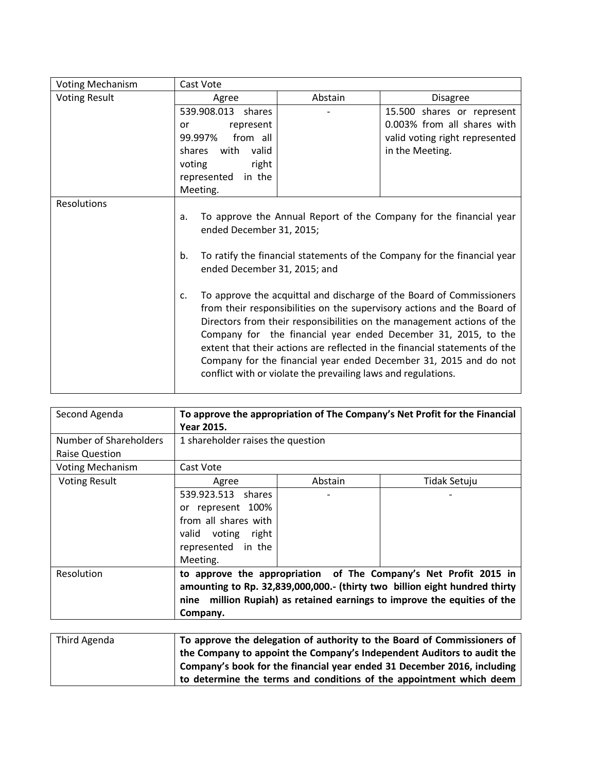| <b>Voting Mechanism</b> | Cast Vote                                                                                                                                                                                                                                                                                                                                                                                                                                                                                                                                                                                                                                                                                                                                                |         |                                |
|-------------------------|----------------------------------------------------------------------------------------------------------------------------------------------------------------------------------------------------------------------------------------------------------------------------------------------------------------------------------------------------------------------------------------------------------------------------------------------------------------------------------------------------------------------------------------------------------------------------------------------------------------------------------------------------------------------------------------------------------------------------------------------------------|---------|--------------------------------|
| <b>Voting Result</b>    | Agree                                                                                                                                                                                                                                                                                                                                                                                                                                                                                                                                                                                                                                                                                                                                                    | Abstain | Disagree                       |
|                         | 539.908.013 shares                                                                                                                                                                                                                                                                                                                                                                                                                                                                                                                                                                                                                                                                                                                                       |         | 15.500 shares or represent     |
|                         | represent<br>or                                                                                                                                                                                                                                                                                                                                                                                                                                                                                                                                                                                                                                                                                                                                          |         | 0.003% from all shares with    |
|                         | from all<br>99.997%                                                                                                                                                                                                                                                                                                                                                                                                                                                                                                                                                                                                                                                                                                                                      |         | valid voting right represented |
|                         | with valid<br>shares                                                                                                                                                                                                                                                                                                                                                                                                                                                                                                                                                                                                                                                                                                                                     |         | in the Meeting.                |
|                         | voting<br>right                                                                                                                                                                                                                                                                                                                                                                                                                                                                                                                                                                                                                                                                                                                                          |         |                                |
|                         | represented<br>in the                                                                                                                                                                                                                                                                                                                                                                                                                                                                                                                                                                                                                                                                                                                                    |         |                                |
|                         | Meeting.                                                                                                                                                                                                                                                                                                                                                                                                                                                                                                                                                                                                                                                                                                                                                 |         |                                |
| Resolutions             | To approve the Annual Report of the Company for the financial year<br>a.<br>ended December 31, 2015;<br>To ratify the financial statements of the Company for the financial year<br>b.<br>ended December 31, 2015; and<br>To approve the acquittal and discharge of the Board of Commissioners<br>$C_{\cdot}$<br>from their responsibilities on the supervisory actions and the Board of<br>Directors from their responsibilities on the management actions of the<br>Company for the financial year ended December 31, 2015, to the<br>extent that their actions are reflected in the financial statements of the<br>Company for the financial year ended December 31, 2015 and do not<br>conflict with or violate the prevailing laws and regulations. |         |                                |

| Second Agenda           | To approve the appropriation of The Company's Net Profit for the Financial<br>Year 2015.                                                                                                                                               |                                   |              |  |
|-------------------------|----------------------------------------------------------------------------------------------------------------------------------------------------------------------------------------------------------------------------------------|-----------------------------------|--------------|--|
| Number of Shareholders  |                                                                                                                                                                                                                                        | 1 shareholder raises the question |              |  |
| <b>Raise Question</b>   |                                                                                                                                                                                                                                        |                                   |              |  |
| <b>Voting Mechanism</b> | Cast Vote                                                                                                                                                                                                                              |                                   |              |  |
| <b>Voting Result</b>    | Agree                                                                                                                                                                                                                                  | Abstain                           | Tidak Setuju |  |
|                         | 539.923.513 shares<br>represent 100%<br>or<br>from all shares with<br>valid voting right<br>represented in the<br>Meeting.                                                                                                             |                                   |              |  |
| Resolution              | to approve the appropriation of The Company's Net Profit 2015 in<br>amounting to Rp. 32,839,000,000.- (thirty two billion eight hundred thirty<br>nine million Rupiah) as retained earnings to improve the equities of the<br>Company. |                                   |              |  |

| Third Agenda | To approve the delegation of authority to the Board of Commissioners of |
|--------------|-------------------------------------------------------------------------|
|              | the Company to appoint the Company's Independent Auditors to audit the  |
|              | Company's book for the financial year ended 31 December 2016, including |
|              | to determine the terms and conditions of the appointment which deem     |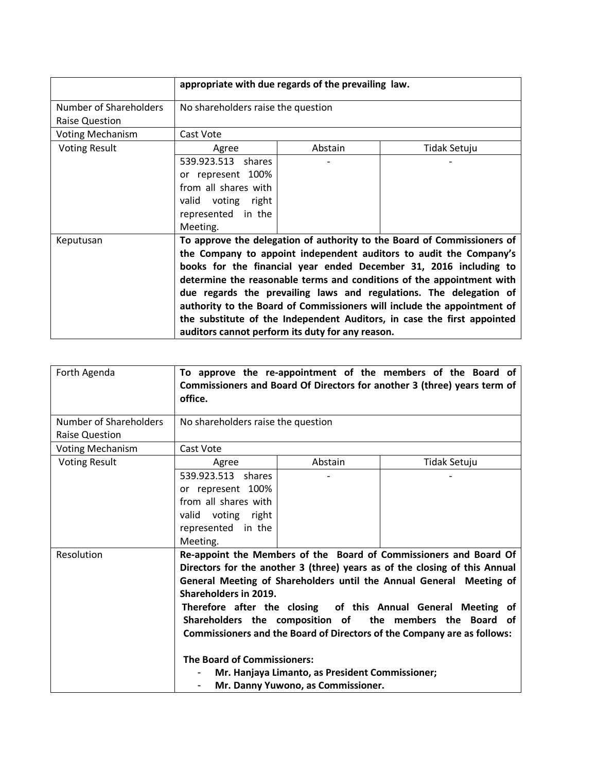|                                                 | appropriate with due regards of the prevailing law.                                                                                                                                                                                                                                                                                                                                                                                                                                                                                                                         |  |  |  |
|-------------------------------------------------|-----------------------------------------------------------------------------------------------------------------------------------------------------------------------------------------------------------------------------------------------------------------------------------------------------------------------------------------------------------------------------------------------------------------------------------------------------------------------------------------------------------------------------------------------------------------------------|--|--|--|
| Number of Shareholders<br><b>Raise Question</b> | No shareholders raise the question                                                                                                                                                                                                                                                                                                                                                                                                                                                                                                                                          |  |  |  |
| <b>Voting Mechanism</b>                         | Cast Vote                                                                                                                                                                                                                                                                                                                                                                                                                                                                                                                                                                   |  |  |  |
| <b>Voting Result</b>                            | Abstain<br>Tidak Setuju<br>Agree                                                                                                                                                                                                                                                                                                                                                                                                                                                                                                                                            |  |  |  |
|                                                 | 539.923.513 shares<br>or represent 100%<br>from all shares with<br>valid voting right<br>represented in the<br>Meeting.                                                                                                                                                                                                                                                                                                                                                                                                                                                     |  |  |  |
| Keputusan                                       | To approve the delegation of authority to the Board of Commissioners of<br>the Company to appoint independent auditors to audit the Company's<br>books for the financial year ended December 31, 2016 including to<br>determine the reasonable terms and conditions of the appointment with<br>due regards the prevailing laws and regulations. The delegation of<br>authority to the Board of Commissioners will include the appointment of<br>the substitute of the Independent Auditors, in case the first appointed<br>auditors cannot perform its duty for any reason. |  |  |  |

| Forth Agenda            | office.                                                          |                                                                                       | To approve the re-appointment of the members of the Board of<br>Commissioners and Board Of Directors for another 3 (three) years term of                                                                                                                                                                                                                                                                                       |
|-------------------------|------------------------------------------------------------------|---------------------------------------------------------------------------------------|--------------------------------------------------------------------------------------------------------------------------------------------------------------------------------------------------------------------------------------------------------------------------------------------------------------------------------------------------------------------------------------------------------------------------------|
| Number of Shareholders  | No shareholders raise the question                               |                                                                                       |                                                                                                                                                                                                                                                                                                                                                                                                                                |
| <b>Raise Question</b>   |                                                                  |                                                                                       |                                                                                                                                                                                                                                                                                                                                                                                                                                |
| <b>Voting Mechanism</b> | Cast Vote                                                        |                                                                                       |                                                                                                                                                                                                                                                                                                                                                                                                                                |
| <b>Voting Result</b>    | Agree                                                            | Abstain                                                                               | Tidak Setuju                                                                                                                                                                                                                                                                                                                                                                                                                   |
|                         | 539.923.513 shares                                               |                                                                                       |                                                                                                                                                                                                                                                                                                                                                                                                                                |
|                         | or represent 100%                                                |                                                                                       |                                                                                                                                                                                                                                                                                                                                                                                                                                |
|                         | from all shares with                                             |                                                                                       |                                                                                                                                                                                                                                                                                                                                                                                                                                |
|                         | valid voting right                                               |                                                                                       |                                                                                                                                                                                                                                                                                                                                                                                                                                |
|                         | represented in the                                               |                                                                                       |                                                                                                                                                                                                                                                                                                                                                                                                                                |
|                         | Meeting.                                                         |                                                                                       |                                                                                                                                                                                                                                                                                                                                                                                                                                |
| Resolution              | Shareholders in 2019.<br><b>The Board of Commissioners:</b><br>- | Mr. Hanjaya Limanto, as President Commissioner;<br>Mr. Danny Yuwono, as Commissioner. | Re-appoint the Members of the Board of Commissioners and Board Of<br>Directors for the another 3 (three) years as of the closing of this Annual<br>General Meeting of Shareholders until the Annual General Meeting of<br>Therefore after the closing of this Annual General Meeting of<br>Shareholders the composition of the members the Board of<br>Commissioners and the Board of Directors of the Company are as follows: |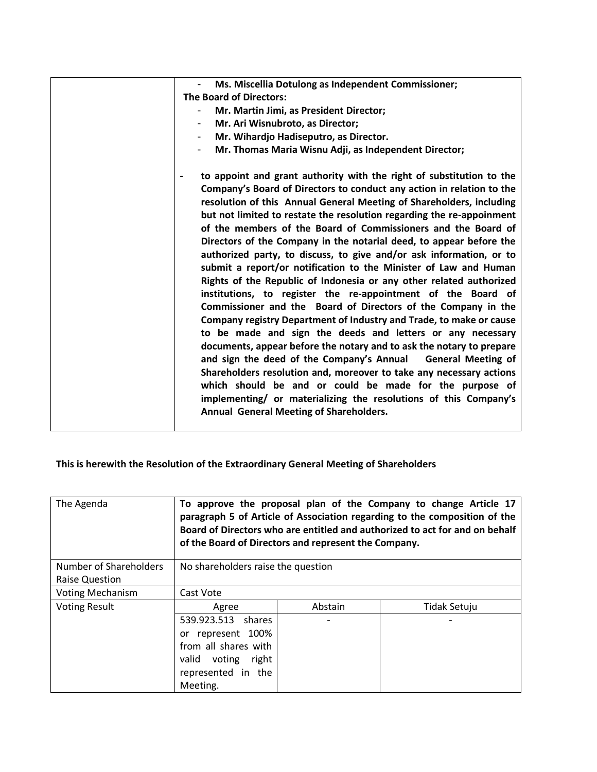| Ms. Miscellia Dotulong as Independent Commissioner;                                                                                           |
|-----------------------------------------------------------------------------------------------------------------------------------------------|
| <b>The Board of Directors:</b>                                                                                                                |
| Mr. Martin Jimi, as President Director;                                                                                                       |
| Mr. Ari Wisnubroto, as Director;<br>$\overline{\phantom{a}}$                                                                                  |
| Mr. Wihardjo Hadiseputro, as Director.                                                                                                        |
| Mr. Thomas Maria Wisnu Adji, as Independent Director;                                                                                         |
| to appoint and grant authority with the right of substitution to the<br>Company's Board of Directors to conduct any action in relation to the |
| resolution of this Annual General Meeting of Shareholders, including                                                                          |
| but not limited to restate the resolution regarding the re-appoinment                                                                         |
| of the members of the Board of Commissioners and the Board of                                                                                 |
| Directors of the Company in the notarial deed, to appear before the                                                                           |
| authorized party, to discuss, to give and/or ask information, or to                                                                           |
| submit a report/or notification to the Minister of Law and Human                                                                              |
| Rights of the Republic of Indonesia or any other related authorized                                                                           |
| institutions, to register the re-appointment of the Board of                                                                                  |
| Commissioner and the Board of Directors of the Company in the                                                                                 |
| Company registry Department of Industry and Trade, to make or cause                                                                           |
| to be made and sign the deeds and letters or any necessary                                                                                    |
| documents, appear before the notary and to ask the notary to prepare                                                                          |
| and sign the deed of the Company's Annual<br><b>General Meeting of</b>                                                                        |
| Shareholders resolution and, moreover to take any necessary actions                                                                           |
| which should be and or could be made for the purpose of                                                                                       |
| implementing/ or materializing the resolutions of this Company's                                                                              |
| Annual General Meeting of Shareholders.                                                                                                       |
|                                                                                                                                               |
|                                                                                                                                               |

**This is herewith the Resolution of the Extraordinary General Meeting of Shareholders** 

| The Agenda                                      | To approve the proposal plan of the Company to change Article 17<br>paragraph 5 of Article of Association regarding to the composition of the<br>Board of Directors who are entitled and authorized to act for and on behalf<br>of the Board of Directors and represent the Company. |         |              |
|-------------------------------------------------|--------------------------------------------------------------------------------------------------------------------------------------------------------------------------------------------------------------------------------------------------------------------------------------|---------|--------------|
| Number of Shareholders<br><b>Raise Question</b> | No shareholders raise the question                                                                                                                                                                                                                                                   |         |              |
| <b>Voting Mechanism</b>                         | Cast Vote                                                                                                                                                                                                                                                                            |         |              |
| <b>Voting Result</b>                            | Agree                                                                                                                                                                                                                                                                                | Abstain | Tidak Setuju |
|                                                 | 539.923.513 shares<br>or represent 100%<br>from all shares with<br>valid voting right<br>represented in the<br>Meeting.                                                                                                                                                              |         |              |